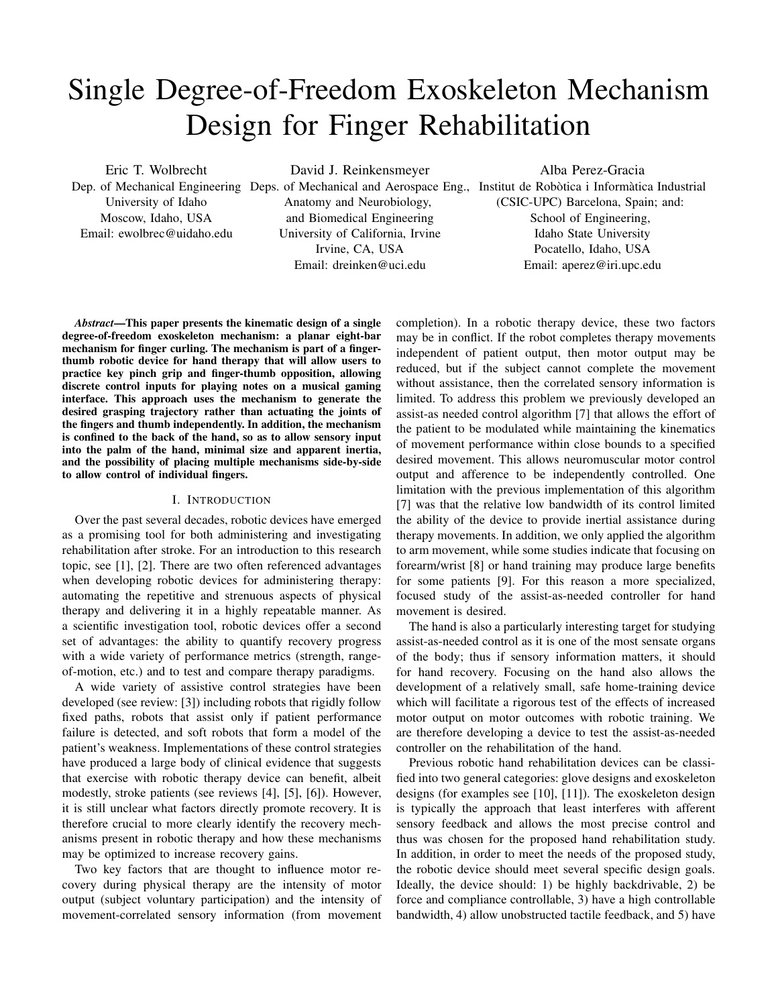# Single Degree-of-Freedom Exoskeleton Mechanism Design for Finger Rehabilitation

Eric T. Wolbrecht

University of Idaho Moscow, Idaho, USA Email: ewolbrec@uidaho.edu

David J. Reinkensmeyer Anatomy and Neurobiology, and Biomedical Engineering University of California, Irvine

> Irvine, CA, USA Email: dreinken@uci.edu

Dep. of Mechanical Engineering Deps. of Mechanical and Aerospace Eng., Institut de Robòtica i Informàtica Industrial Alba Perez-Gracia (CSIC-UPC) Barcelona, Spain; and: School of Engineering, Idaho State University Pocatello, Idaho, USA Email: aperez@iri.upc.edu

*Abstract*—This paper presents the kinematic design of a single degree-of-freedom exoskeleton mechanism: a planar eight-bar mechanism for finger curling. The mechanism is part of a fingerthumb robotic device for hand therapy that will allow users to practice key pinch grip and finger-thumb opposition, allowing discrete control inputs for playing notes on a musical gaming interface. This approach uses the mechanism to generate the desired grasping trajectory rather than actuating the joints of the fingers and thumb independently. In addition, the mechanism is confined to the back of the hand, so as to allow sensory input into the palm of the hand, minimal size and apparent inertia, and the possibility of placing multiple mechanisms side-by-side to allow control of individual fingers.

#### I. INTRODUCTION

Over the past several decades, robotic devices have emerged as a promising tool for both administering and investigating rehabilitation after stroke. For an introduction to this research topic, see [1], [2]. There are two often referenced advantages when developing robotic devices for administering therapy: automating the repetitive and strenuous aspects of physical therapy and delivering it in a highly repeatable manner. As a scientific investigation tool, robotic devices offer a second set of advantages: the ability to quantify recovery progress with a wide variety of performance metrics (strength, rangeof-motion, etc.) and to test and compare therapy paradigms.

A wide variety of assistive control strategies have been developed (see review: [3]) including robots that rigidly follow fixed paths, robots that assist only if patient performance failure is detected, and soft robots that form a model of the patient's weakness. Implementations of these control strategies have produced a large body of clinical evidence that suggests that exercise with robotic therapy device can benefit, albeit modestly, stroke patients (see reviews [4], [5], [6]). However, it is still unclear what factors directly promote recovery. It is therefore crucial to more clearly identify the recovery mechanisms present in robotic therapy and how these mechanisms may be optimized to increase recovery gains.

Two key factors that are thought to influence motor recovery during physical therapy are the intensity of motor output (subject voluntary participation) and the intensity of movement-correlated sensory information (from movement completion). In a robotic therapy device, these two factors may be in conflict. If the robot completes therapy movements independent of patient output, then motor output may be reduced, but if the subject cannot complete the movement without assistance, then the correlated sensory information is limited. To address this problem we previously developed an assist-as needed control algorithm [7] that allows the effort of the patient to be modulated while maintaining the kinematics of movement performance within close bounds to a specified desired movement. This allows neuromuscular motor control output and afference to be independently controlled. One limitation with the previous implementation of this algorithm [7] was that the relative low bandwidth of its control limited the ability of the device to provide inertial assistance during therapy movements. In addition, we only applied the algorithm to arm movement, while some studies indicate that focusing on forearm/wrist [8] or hand training may produce large benefits for some patients [9]. For this reason a more specialized, focused study of the assist-as-needed controller for hand movement is desired.

The hand is also a particularly interesting target for studying assist-as-needed control as it is one of the most sensate organs of the body; thus if sensory information matters, it should for hand recovery. Focusing on the hand also allows the development of a relatively small, safe home-training device which will facilitate a rigorous test of the effects of increased motor output on motor outcomes with robotic training. We are therefore developing a device to test the assist-as-needed controller on the rehabilitation of the hand.

Previous robotic hand rehabilitation devices can be classified into two general categories: glove designs and exoskeleton designs (for examples see [10], [11]). The exoskeleton design is typically the approach that least interferes with afferent sensory feedback and allows the most precise control and thus was chosen for the proposed hand rehabilitation study. In addition, in order to meet the needs of the proposed study, the robotic device should meet several specific design goals. Ideally, the device should: 1) be highly backdrivable, 2) be force and compliance controllable, 3) have a high controllable bandwidth, 4) allow unobstructed tactile feedback, and 5) have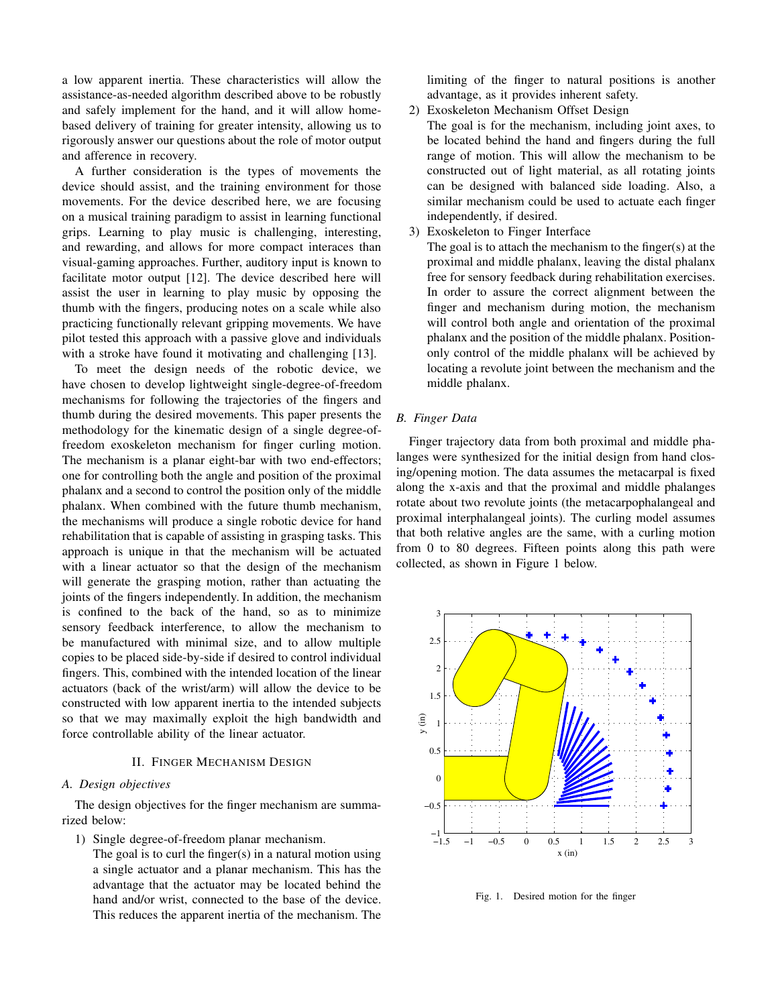a low apparent inertia. These characteristics will allow the assistance-as-needed algorithm described above to be robustly and safely implement for the hand, and it will allow homebased delivery of training for greater intensity, allowing us to rigorously answer our questions about the role of motor output and afference in recovery.

A further consideration is the types of movements the device should assist, and the training environment for those movements. For the device described here, we are focusing on a musical training paradigm to assist in learning functional grips. Learning to play music is challenging, interesting, and rewarding, and allows for more compact interaces than visual-gaming approaches. Further, auditory input is known to facilitate motor output [12]. The device described here will assist the user in learning to play music by opposing the thumb with the fingers, producing notes on a scale while also practicing functionally relevant gripping movements. We have pilot tested this approach with a passive glove and individuals with a stroke have found it motivating and challenging [13].

To meet the design needs of the robotic device, we have chosen to develop lightweight single-degree-of-freedom mechanisms for following the trajectories of the fingers and thumb during the desired movements. This paper presents the methodology for the kinematic design of a single degree-offreedom exoskeleton mechanism for finger curling motion. The mechanism is a planar eight-bar with two end-effectors; one for controlling both the angle and position of the proximal phalanx and a second to control the position only of the middle phalanx. When combined with the future thumb mechanism, the mechanisms will produce a single robotic device for hand rehabilitation that is capable of assisting in grasping tasks. This approach is unique in that the mechanism will be actuated with a linear actuator so that the design of the mechanism will generate the grasping motion, rather than actuating the joints of the fingers independently. In addition, the mechanism is confined to the back of the hand, so as to minimize sensory feedback interference, to allow the mechanism to be manufactured with minimal size, and to allow multiple copies to be placed side-by-side if desired to control individual fingers. This, combined with the intended location of the linear actuators (back of the wrist/arm) will allow the device to be constructed with low apparent inertia to the intended subjects so that we may maximally exploit the high bandwidth and force controllable ability of the linear actuator.

## II. FINGER MECHANISM DESIGN

# *A. Design objectives*

The design objectives for the finger mechanism are summarized below:

1) Single degree-of-freedom planar mechanism.

The goal is to curl the finger(s) in a natural motion using a single actuator and a planar mechanism. This has the advantage that the actuator may be located behind the hand and/or wrist, connected to the base of the device. This reduces the apparent inertia of the mechanism. The limiting of the finger to natural positions is another advantage, as it provides inherent safety.

- 2) Exoskeleton Mechanism Offset Design
	- The goal is for the mechanism, including joint axes, to be located behind the hand and fingers during the full range of motion. This will allow the mechanism to be constructed out of light material, as all rotating joints can be designed with balanced side loading. Also, a similar mechanism could be used to actuate each finger independently, if desired.
- 3) Exoskeleton to Finger Interface The goal is to attach the mechanism to the finger(s) at the proximal and middle phalanx, leaving the distal phalanx free for sensory feedback during rehabilitation exercises. In order to assure the correct alignment between the finger and mechanism during motion, the mechanism will control both angle and orientation of the proximal phalanx and the position of the middle phalanx. Position
	- only control of the middle phalanx will be achieved by locating a revolute joint between the mechanism and the middle phalanx.

# *B. Finger Data*

Finger trajectory data from both proximal and middle phalanges were synthesized for the initial design from hand closing/opening motion. The data assumes the metacarpal is fixed along the x-axis and that the proximal and middle phalanges rotate about two revolute joints (the metacarpophalangeal and proximal interphalangeal joints). The curling model assumes that both relative angles are the same, with a curling motion from 0 to 80 degrees. Fifteen points along this path were collected, as shown in Figure 1 below.



Fig. 1. Desired motion for the finger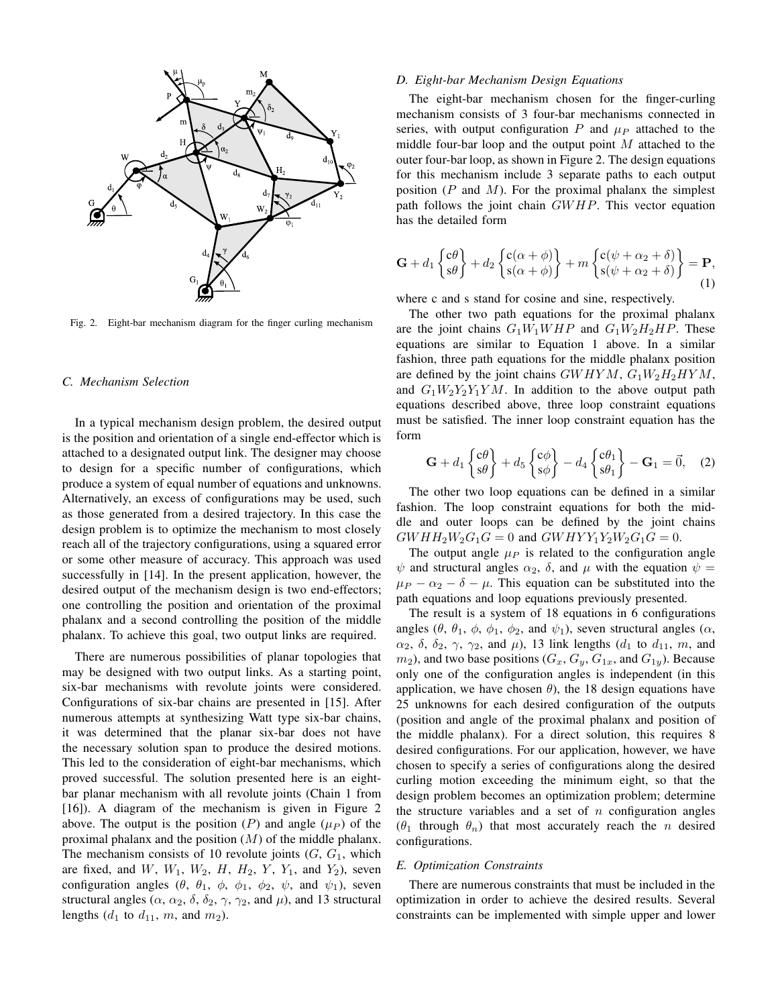

Fig. 2. Eight-bar mechanism diagram for the finger curling mechanism

#### *C. Mechanism Selection*

In a typical mechanism design problem, the desired output is the position and orientation of a single end-effector which is attached to a designated output link. The designer may choose to design for a specific number of configurations, which produce a system of equal number of equations and unknowns. Alternatively, an excess of configurations may be used, such as those generated from a desired trajectory. In this case the design problem is to optimize the mechanism to most closely reach all of the trajectory configurations, using a squared error or some other measure of accuracy. This approach was used successfully in [14]. In the present application, however, the desired output of the mechanism design is two end-effectors; one controlling the position and orientation of the proximal phalanx and a second controlling the position of the middle phalanx. To achieve this goal, two output links are required.

There are numerous possibilities of planar topologies that may be designed with two output links. As a starting point, six-bar mechanisms with revolute joints were considered. Configurations of six-bar chains are presented in [15]. After numerous attempts at synthesizing Watt type six-bar chains, it was determined that the planar six-bar does not have the necessary solution span to produce the desired motions. This led to the consideration of eight-bar mechanisms, which proved successful. The solution presented here is an eightbar planar mechanism with all revolute joints (Chain 1 from [16]). A diagram of the mechanism is given in Figure 2 above. The output is the position (P) and angle ( $\mu$ <sub>P</sub>) of the proximal phalanx and the position  $(M)$  of the middle phalanx. The mechanism consists of 10 revolute joints  $(G, G_1,$  which are fixed, and  $W$ ,  $W_1$ ,  $W_2$ ,  $H$ ,  $H_2$ ,  $Y$ ,  $Y_1$ , and  $Y_2$ ), seven configuration angles  $(\theta, \theta_1, \phi, \phi_1, \phi_2, \psi, \phi)$  and  $\psi_1$ ), seven structural angles ( $\alpha$ ,  $\alpha_2$ ,  $\delta$ ,  $\delta_2$ ,  $\gamma$ ,  $\gamma_2$ , and  $\mu$ ), and 13 structural lengths  $(d_1$  to  $d_{11}$ ,  $m$ , and  $m_2$ ).

#### *D. Eight-bar Mechanism Design Equations*

The eight-bar mechanism chosen for the finger-curling mechanism consists of 3 four-bar mechanisms connected in series, with output configuration P and  $\mu$ <sub>P</sub> attached to the middle four-bar loop and the output point  $M$  attached to the outer four-bar loop, as shown in Figure 2. The design equations for this mechanism include 3 separate paths to each output position  $(P \text{ and } M)$ . For the proximal phalanx the simplest path follows the joint chain GW HP. This vector equation has the detailed form

$$
\mathbf{G} + d_1 \begin{Bmatrix} c\theta \\ s\theta \end{Bmatrix} + d_2 \begin{Bmatrix} c(\alpha + \phi) \\ s(\alpha + \phi) \end{Bmatrix} + m \begin{Bmatrix} c(\psi + \alpha_2 + \delta) \\ s(\psi + \alpha_2 + \delta) \end{Bmatrix} = \mathbf{P},
$$
\n(1)

where c and s stand for cosine and sine, respectively.

The other two path equations for the proximal phalanx are the joint chains  $G_1W_1WHP$  and  $G_1W_2H_2HP$ . These equations are similar to Equation 1 above. In a similar fashion, three path equations for the middle phalanx position are defined by the joint chains  $GWHYM$ ,  $G_1W_2H_2HYM$ , and  $G_1W_2Y_2Y_1YM$ . In addition to the above output path equations described above, three loop constraint equations must be satisfied. The inner loop constraint equation has the form

$$
\mathbf{G} + d_1 \begin{Bmatrix} c\theta \\ s\theta \end{Bmatrix} + d_5 \begin{Bmatrix} c\phi \\ s\phi \end{Bmatrix} - d_4 \begin{Bmatrix} c\theta_1 \\ s\theta_1 \end{Bmatrix} - \mathbf{G}_1 = \vec{0}, \quad (2)
$$

The other two loop equations can be defined in a similar fashion. The loop constraint equations for both the middle and outer loops can be defined by the joint chains  $GWHH<sub>2</sub>W<sub>2</sub>G<sub>1</sub>G = 0$  and  $GWHYY<sub>1</sub>Y<sub>2</sub>W<sub>2</sub>G<sub>1</sub>G = 0$ .

The output angle  $\mu_P$  is related to the configuration angle  $\psi$  and structural angles  $\alpha_2$ ,  $\delta$ , and  $\mu$  with the equation  $\psi =$  $\mu_P - \alpha_2 - \delta - \mu$ . This equation can be substituted into the path equations and loop equations previously presented.

The result is a system of 18 equations in 6 configurations angles ( $\theta$ ,  $\theta_1$ ,  $\phi$ ,  $\phi_1$ ,  $\phi_2$ , and  $\psi_1$ ), seven structural angles ( $\alpha$ ,  $\alpha_2$ ,  $\delta$ ,  $\delta_2$ ,  $\gamma$ ,  $\gamma_2$ , and  $\mu$ ), 13 link lengths ( $d_1$  to  $d_{11}$ ,  $m$ , and  $m_2$ ), and two base positions ( $G_x, G_y, G_{1x}$ , and  $G_{1y}$ ). Because only one of the configuration angles is independent (in this application, we have chosen  $\theta$ ), the 18 design equations have 25 unknowns for each desired configuration of the outputs (position and angle of the proximal phalanx and position of the middle phalanx). For a direct solution, this requires 8 desired configurations. For our application, however, we have chosen to specify a series of configurations along the desired curling motion exceeding the minimum eight, so that the design problem becomes an optimization problem; determine the structure variables and a set of  $n$  configuration angles ( $\theta_1$  through  $\theta_n$ ) that most accurately reach the n desired configurations.

## *E. Optimization Constraints*

There are numerous constraints that must be included in the optimization in order to achieve the desired results. Several constraints can be implemented with simple upper and lower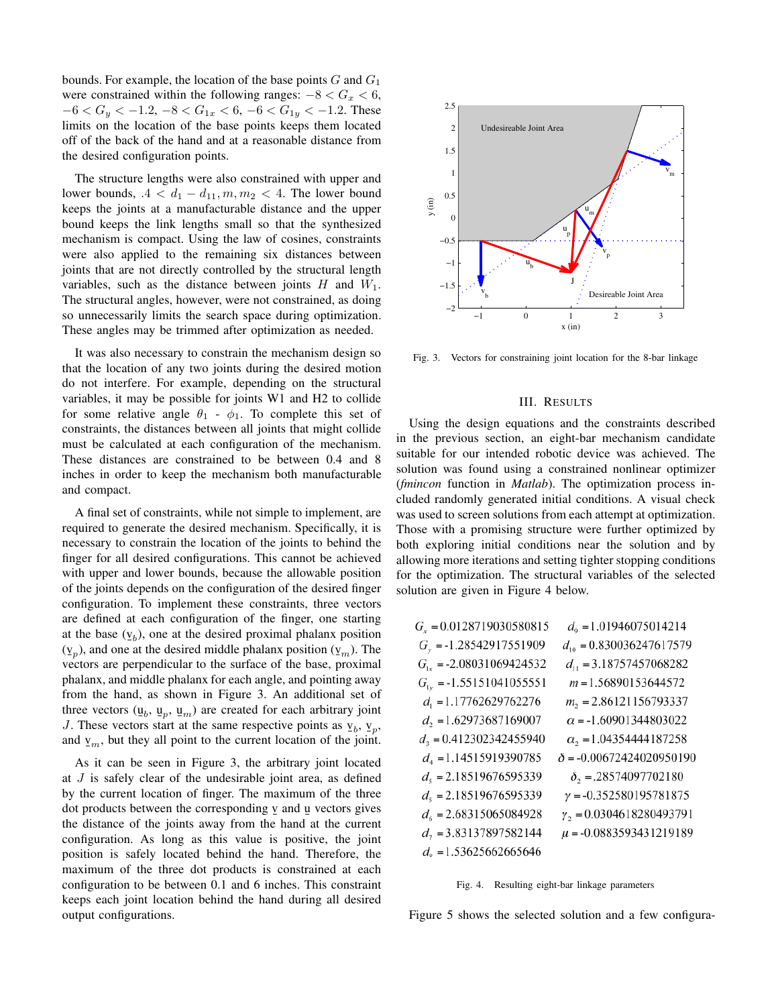bounds. For example, the location of the base points  $G$  and  $G_1$ were constrained within the following ranges:  $-8 < G_x < 6$ ,  $-6 < G_y < -1.2, -8 < G_{1x} < 6, -6 < G_{1y} < -1.2$ . These limits on the location of the base points keeps them located off of the back of the hand and at a reasonable distance from the desired configuration points.

The structure lengths were also constrained with upper and lower bounds,  $.4 < d_1 - d_{11}, m, m_2 < 4$ . The lower bound keeps the joints at a manufacturable distance and the upper bound keeps the link lengths small so that the synthesized mechanism is compact. Using the law of cosines, constraints were also applied to the remaining six distances between joints that are not directly controlled by the structural length variables, such as the distance between joints  $H$  and  $W_1$ . The structural angles, however, were not constrained, as doing so unnecessarily limits the search space during optimization. These angles may be trimmed after optimization as needed.

It was also necessary to constrain the mechanism design so that the location of any two joints during the desired motion do not interfere. For example, depending on the structural variables, it may be possible for joints W1 and H2 to collide for some relative angle  $\theta_1$  -  $\phi_1$ . To complete this set of constraints, the distances between all joints that might collide must be calculated at each configuration of the mechanism. These distances are constrained to be between 0.4 and 8 inches in order to keep the mechanism both manufacturable and compact.

A final set of constraints, while not simple to implement, are required to generate the desired mechanism. Specifically, it is necessary to constrain the location of the joints to behind the finger for all desired configurations. This cannot be achieved with upper and lower bounds, because the allowable position of the joints depends on the configuration of the desired finger configuration. To implement these constraints, three vectors are defined at each configuration of the finger, one starting at the base  $(y_b)$ , one at the desired proximal phalanx position<br> $(y_a)$ , and one at the desired middle phalanx position  $(y_a)$ . The  $(v_p)$ , and one at the desired middle phalanx position  $(v_m)$ . The vectors are perpendicular to the surface of the base proximal vectors are perpendicular to the surface of the base, proximal phalanx, and middle phalanx for each angle, and pointing away from the hand, as shown in Figure 3. An additional set of three vectors  $(\underline{u}_b, \underline{u}_p, \underline{u}_m)$  are created for each arbitrary joint <br>*L*, These vectors start at the same respective points as  $V = V$ J. These vectors start at the same respective points as  $y_b$ ,  $y_p$ ,<br>and v but they all point to the current location of the joint and  $y_m$ , but they all point to the current location of the joint.

As it can be seen in Figure 3, the arbitrary joint located at J is safely clear of the undesirable joint area, as defined by the current location of finger. The maximum of the three dot products between the corresponding  $y$  and  $y$  vectors gives<br>the distance of the joints away from the hand at the current the distance of the joints away from the hand at the current configuration. As long as this value is positive, the joint position is safely located behind the hand. Therefore, the maximum of the three dot products is constrained at each configuration to be between 0.1 and 6 inches. This constraint keeps each joint location behind the hand during all desired output configurations.



Fig. 3. Vectors for constraining joint location for the 8-bar linkage

#### III. RESULTS

Using the design equations and the constraints described in the previous section, an eight-bar mechanism candidate suitable for our intended robotic device was achieved. The solution was found using a constrained nonlinear optimizer (*fmincon* function in *Matlab*). The optimization process included randomly generated initial conditions. A visual check was used to screen solutions from each attempt at optimization. Those with a promising structure were further optimized by both exploring initial conditions near the solution and by allowing more iterations and setting tighter stopping conditions for the optimization. The structural variables of the selected solution are given in Figure 4 below.

| $G_r = 0.0128719030580815$   | $d_0 = 1.01946075014214$                 |
|------------------------------|------------------------------------------|
| $G_v = -1.28542917551909$    | $d_{10} = 0.830036247617579$             |
| $G_{1x} = -2.08031069424532$ | $d_{11} = 3.18757457068282$              |
| $G_{1v}$ = -1.55151041055551 | $m = 1.56890153644572$                   |
| $d_1 = 1.17762629762276$     | $m_2$ = 2.86121156793337                 |
| $d_2$ = 1.62973687169007     | $\alpha$ = -1.60901344803022             |
| $d_3 = 0.412302342455940$    | $\alpha$ <sub>2</sub> = 1.04354444187258 |
| $d_4$ = 1.14515919390785     | $\delta$ = -0.00672424020950190          |
| $d_5$ = 2.18519676595339     | $\delta$ <sub>2</sub> = .28574097702180  |
| $d_5$ = 2.18519676595339     | $\gamma = -0.352580195781875$            |
| $d_6 = 2.68315065084928$     | $\gamma_2 = 0.0304618280493791$          |
| $d_7$ = 3.83137897582144     | $\mu = -0.0883593431219189$              |
| $d_{s} = 1.53625662665646$   |                                          |

#### Fig. 4. Resulting eight-bar linkage parameters

Figure 5 shows the selected solution and a few configura-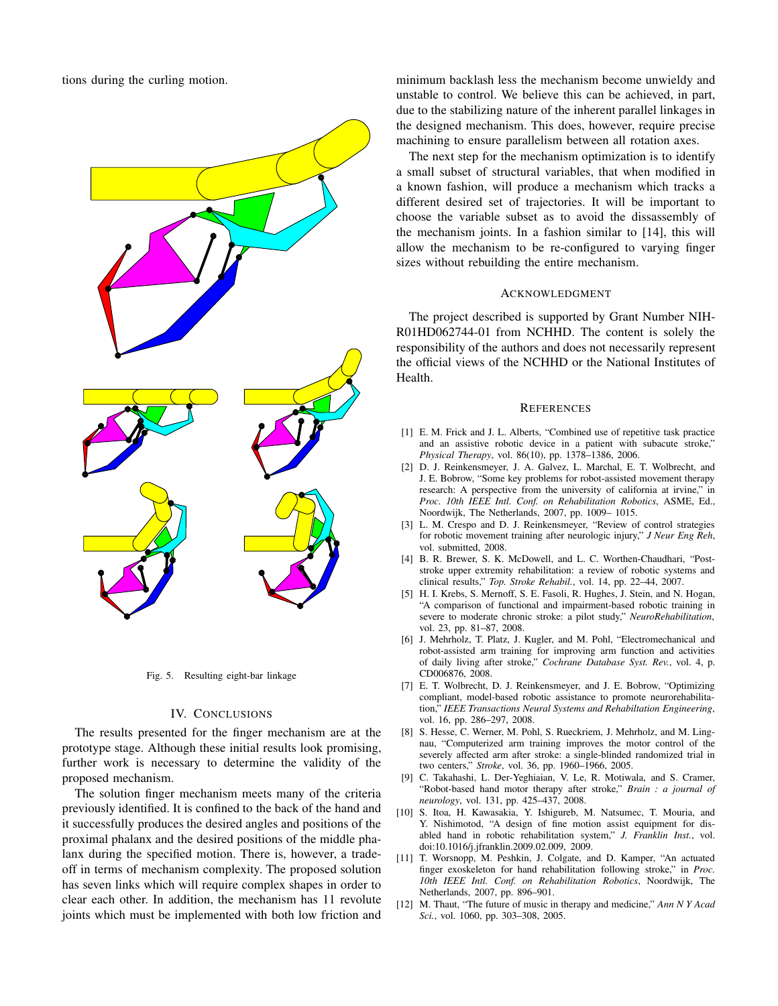tions during the curling motion.



Fig. 5. Resulting eight-bar linkage

# IV. CONCLUSIONS

The results presented for the finger mechanism are at the prototype stage. Although these initial results look promising, further work is necessary to determine the validity of the proposed mechanism.

The solution finger mechanism meets many of the criteria previously identified. It is confined to the back of the hand and it successfully produces the desired angles and positions of the proximal phalanx and the desired positions of the middle phalanx during the specified motion. There is, however, a tradeoff in terms of mechanism complexity. The proposed solution has seven links which will require complex shapes in order to clear each other. In addition, the mechanism has 11 revolute joints which must be implemented with both low friction and

minimum backlash less the mechanism become unwieldy and unstable to control. We believe this can be achieved, in part, due to the stabilizing nature of the inherent parallel linkages in the designed mechanism. This does, however, require precise machining to ensure parallelism between all rotation axes.

The next step for the mechanism optimization is to identify a small subset of structural variables, that when modified in a known fashion, will produce a mechanism which tracks a different desired set of trajectories. It will be important to choose the variable subset as to avoid the dissassembly of the mechanism joints. In a fashion similar to [14], this will allow the mechanism to be re-configured to varying finger sizes without rebuilding the entire mechanism.

## ACKNOWLEDGMENT

The project described is supported by Grant Number NIH-R01HD062744-01 from NCHHD. The content is solely the responsibility of the authors and does not necessarily represent the official views of the NCHHD or the National Institutes of Health.

#### **REFERENCES**

- [1] E. M. Frick and J. L. Alberts, "Combined use of repetitive task practice and an assistive robotic device in a patient with subacute stroke," *Physical Therapy*, vol. 86(10), pp. 1378–1386, 2006.
- [2] D. J. Reinkensmeyer, J. A. Galvez, L. Marchal, E. T. Wolbrecht, and J. E. Bobrow, "Some key problems for robot-assisted movement therapy research: A perspective from the university of california at irvine," in *Proc. 10th IEEE Intl. Conf. on Rehabilitation Robotics*, ASME, Ed., Noordwijk, The Netherlands, 2007, pp. 1009– 1015.
- [3] L. M. Crespo and D. J. Reinkensmeyer, "Review of control strategies for robotic movement training after neurologic injury," *J Neur Eng Reh*, vol. submitted, 2008.
- [4] B. R. Brewer, S. K. McDowell, and L. C. Worthen-Chaudhari, "Poststroke upper extremity rehabilitation: a review of robotic systems and clinical results," *Top. Stroke Rehabil.*, vol. 14, pp. 22–44, 2007.
- [5] H. I. Krebs, S. Mernoff, S. E. Fasoli, R. Hughes, J. Stein, and N. Hogan, "A comparison of functional and impairment-based robotic training in severe to moderate chronic stroke: a pilot study," *NeuroRehabilitation*, vol. 23, pp. 81–87, 2008.
- [6] J. Mehrholz, T. Platz, J. Kugler, and M. Pohl, "Electromechanical and robot-assisted arm training for improving arm function and activities of daily living after stroke," *Cochrane Database Syst. Rev.*, vol. 4, p. CD006876, 2008.
- [7] E. T. Wolbrecht, D. J. Reinkensmeyer, and J. E. Bobrow, "Optimizing compliant, model-based robotic assistance to promote neurorehabilitation," *IEEE Transactions Neural Systems and Rehabiltation Engineering*, vol. 16, pp. 286–297, 2008.
- [8] S. Hesse, C. Werner, M. Pohl, S. Rueckriem, J. Mehrholz, and M. Lingnau, "Computerized arm training improves the motor control of the severely affected arm after stroke: a single-blinded randomized trial in two centers," *Stroke*, vol. 36, pp. 1960–1966, 2005.
- [9] C. Takahashi, L. Der-Yeghiaian, V. Le, R. Motiwala, and S. Cramer, "Robot-based hand motor therapy after stroke," *Brain : a journal of neurology*, vol. 131, pp. 425–437, 2008.
- [10] S. Itoa, H. Kawasakia, Y. Ishigureb, M. Natsumec, T. Mouria, and Y. Nishimotod, "A design of fine motion assist equipment for disabled hand in robotic rehabilitation system," *J. Franklin Inst.*, vol. doi:10.1016/j.jfranklin.2009.02.009, 2009.
- [11] T. Worsnopp, M. Peshkin, J. Colgate, and D. Kamper, "An actuated finger exoskeleton for hand rehabilitation following stroke," in *Proc. 10th IEEE Intl. Conf. on Rehabilitation Robotics*, Noordwijk, The Netherlands, 2007, pp. 896–901.
- [12] M. Thaut, "The future of music in therapy and medicine," *Ann N Y Acad Sci.*, vol. 1060, pp. 303–308, 2005.